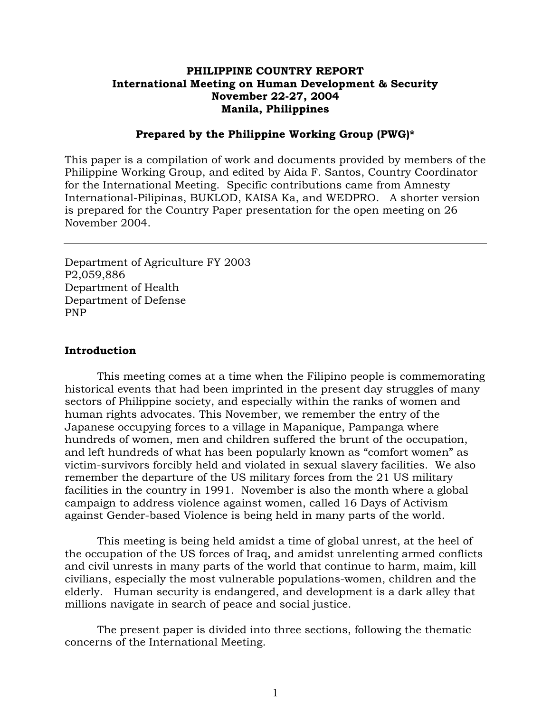### **PHILIPPINE COUNTRY REPORT International Meeting on Human Development & Security November 22-27, 2004 Manila, Philippines**

#### **Prepared by the Philippine Working Group (PWG)\***

This paper is a compilation of work and documents provided by members of the Philippine Working Group, and edited by Aida F. Santos, Country Coordinator for the International Meeting. Specific contributions came from Amnesty International-Pilipinas, BUKLOD, KAISA Ka, and WEDPRO. A shorter version is prepared for the Country Paper presentation for the open meeting on 26 November 2004.

Department of Agriculture FY 2003 P2,059,886 Department of Health Department of Defense PNP

#### **Introduction**

This meeting comes at a time when the Filipino people is commemorating historical events that had been imprinted in the present day struggles of many sectors of Philippine society, and especially within the ranks of women and human rights advocates. This November, we remember the entry of the Japanese occupying forces to a village in Mapanique, Pampanga where hundreds of women, men and children suffered the brunt of the occupation, and left hundreds of what has been popularly known as "comfort women" as victim-survivors forcibly held and violated in sexual slavery facilities. We also remember the departure of the US military forces from the 21 US military facilities in the country in 1991. November is also the month where a global campaign to address violence against women, called 16 Days of Activism against Gender-based Violence is being held in many parts of the world.

This meeting is being held amidst a time of global unrest, at the heel of the occupation of the US forces of Iraq, and amidst unrelenting armed conflicts and civil unrests in many parts of the world that continue to harm, maim, kill civilians, especially the most vulnerable populations-women, children and the elderly. Human security is endangered, and development is a dark alley that millions navigate in search of peace and social justice.

The present paper is divided into three sections, following the thematic concerns of the International Meeting.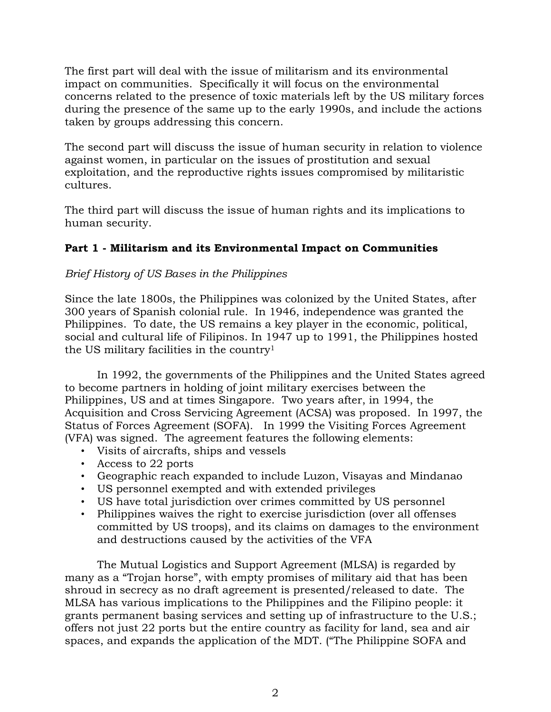The first part will deal with the issue of militarism and its environmental impact on communities. Specifically it will focus on the environmental concerns related to the presence of toxic materials left by the US military forces during the presence of the same up to the early 1990s, and include the actions taken by groups addressing this concern.

The second part will discuss the issue of human security in relation to violence against women, in particular on the issues of prostitution and sexual exploitation, and the reproductive rights issues compromised by militaristic cultures.

The third part will discuss the issue of human rights and its implications to human security.

## **Part 1 - Militarism and its Environmental Impact on Communities**

## *Brief History of US Bases in the Philippines*

Since the late 1800s, the Philippines was colonized by the United States, after 300 years of Spanish colonial rule. In 1946, independence was granted the Philippines. To date, the US remains a key player in the economic, political, social and cultural life of Filipinos. In 1947 up to 1991, the Philippines hosted the US military facilities in the country1

In 1992, the governments of the Philippines and the United States agreed to become partners in holding of joint military exercises between the Philippines, US and at times Singapore. Two years after, in 1994, the Acquisition and Cross Servicing Agreement (ACSA) was proposed. In 1997, the Status of Forces Agreement (SOFA). In 1999 the Visiting Forces Agreement (VFA) was signed. The agreement features the following elements:

- Visits of aircrafts, ships and vessels
- Access to 22 ports
- Geographic reach expanded to include Luzon, Visayas and Mindanao
- US personnel exempted and with extended privileges
- US have total jurisdiction over crimes committed by US personnel
- Philippines waives the right to exercise jurisdiction (over all offenses committed by US troops), and its claims on damages to the environment and destructions caused by the activities of the VFA

The Mutual Logistics and Support Agreement (MLSA) is regarded by many as a "Trojan horse", with empty promises of military aid that has been shroud in secrecy as no draft agreement is presented/released to date. The MLSA has various implications to the Philippines and the Filipino people: it grants permanent basing services and setting up of infrastructure to the U.S.; offers not just 22 ports but the entire country as facility for land, sea and air spaces, and expands the application of the MDT. ("The Philippine SOFA and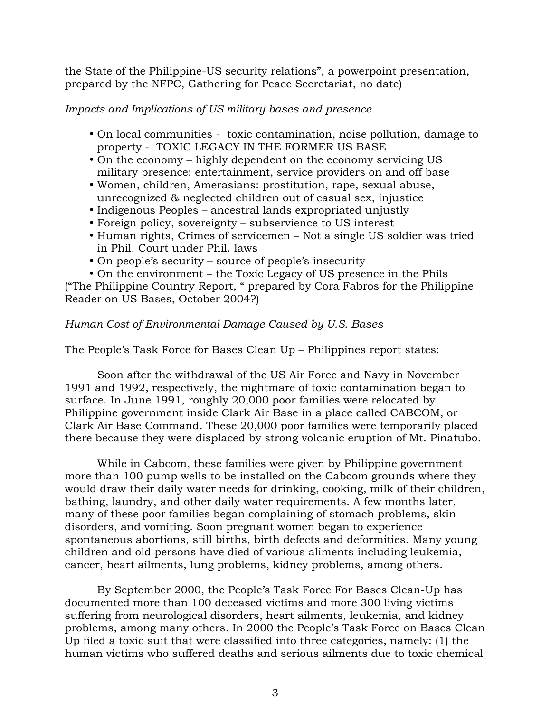the State of the Philippine-US security relations", a powerpoint presentation, prepared by the NFPC, Gathering for Peace Secretariat, no date)

### *Impacts and Implications of US military bases and presence*

- On local communities toxic contamination, noise pollution, damage to property - TOXIC LEGACY IN THE FORMER US BASE
- On the economy highly dependent on the economy servicing US military presence: entertainment, service providers on and off base
- Women, children, Amerasians: prostitution, rape, sexual abuse, unrecognized & neglected children out of casual sex, injustice
- Indigenous Peoples ancestral lands expropriated unjustly
- Foreign policy, sovereignty subservience to US interest
- Human rights, Crimes of servicemen Not a single US soldier was tried in Phil. Court under Phil. laws
- On people's security source of people's insecurity
- On the environment the Toxic Legacy of US presence in the Phils

("The Philippine Country Report, " prepared by Cora Fabros for the Philippine Reader on US Bases, October 2004?)

### *Human Cost of Environmental Damage Caused by U.S. Bases*

The People's Task Force for Bases Clean Up – Philippines report states:

Soon after the withdrawal of the US Air Force and Navy in November 1991 and 1992, respectively, the nightmare of toxic contamination began to surface. In June 1991, roughly 20,000 poor families were relocated by Philippine government inside Clark Air Base in a place called CABCOM, or Clark Air Base Command. These 20,000 poor families were temporarily placed there because they were displaced by strong volcanic eruption of Mt. Pinatubo.

While in Cabcom, these families were given by Philippine government more than 100 pump wells to be installed on the Cabcom grounds where they would draw their daily water needs for drinking, cooking, milk of their children, bathing, laundry, and other daily water requirements. A few months later, many of these poor families began complaining of stomach problems, skin disorders, and vomiting. Soon pregnant women began to experience spontaneous abortions, still births, birth defects and deformities. Many young children and old persons have died of various aliments including leukemia, cancer, heart ailments, lung problems, kidney problems, among others.

By September 2000, the People's Task Force For Bases Clean-Up has documented more than 100 deceased victims and more 300 living victims suffering from neurological disorders, heart ailments, leukemia, and kidney problems, among many others. In 2000 the People's Task Force on Bases Clean Up filed a toxic suit that were classified into three categories, namely: (1) the human victims who suffered deaths and serious ailments due to toxic chemical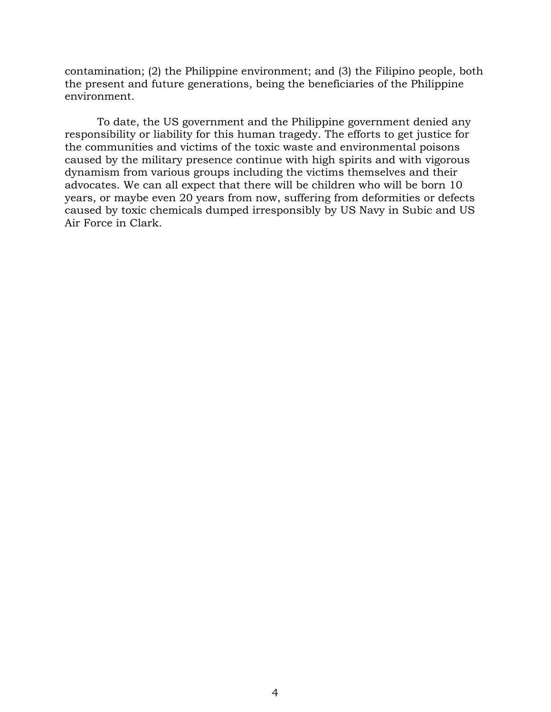contamination; (2) the Philippine environment; and (3) the Filipino people, both the present and future generations, being the beneficiaries of the Philippine environment.

 To date, the US government and the Philippine government denied any responsibility or liability for this human tragedy. The efforts to get justice for the communities and victims of the toxic waste and environmental poisons caused by the military presence continue with high spirits and with vigorous dynamism from various groups including the victims themselves and their advocates. We can all expect that there will be children who will be born 10 years, or maybe even 20 years from now, suffering from deformities or defects caused by toxic chemicals dumped irresponsibly by US Navy in Subic and US Air Force in Clark.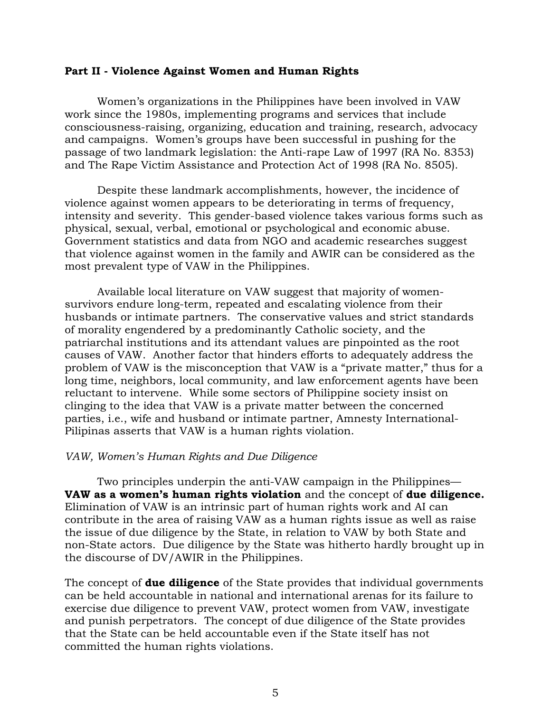#### **Part II - Violence Against Women and Human Rights**

Women's organizations in the Philippines have been involved in VAW work since the 1980s, implementing programs and services that include consciousness-raising, organizing, education and training, research, advocacy and campaigns. Women's groups have been successful in pushing for the passage of two landmark legislation: the Anti-rape Law of 1997 (RA No. 8353) and The Rape Victim Assistance and Protection Act of 1998 (RA No. 8505).

Despite these landmark accomplishments, however, the incidence of violence against women appears to be deteriorating in terms of frequency, intensity and severity. This gender-based violence takes various forms such as physical, sexual, verbal, emotional or psychological and economic abuse. Government statistics and data from NGO and academic researches suggest that violence against women in the family and AWIR can be considered as the most prevalent type of VAW in the Philippines.

Available local literature on VAW suggest that majority of womensurvivors endure long-term, repeated and escalating violence from their husbands or intimate partners. The conservative values and strict standards of morality engendered by a predominantly Catholic society, and the patriarchal institutions and its attendant values are pinpointed as the root causes of VAW. Another factor that hinders efforts to adequately address the problem of VAW is the misconception that VAW is a "private matter," thus for a long time, neighbors, local community, and law enforcement agents have been reluctant to intervene. While some sectors of Philippine society insist on clinging to the idea that VAW is a private matter between the concerned parties, i.e., wife and husband or intimate partner, Amnesty International-Pilipinas asserts that VAW is a human rights violation.

#### *VAW, Women's Human Rights and Due Diligence*

Two principles underpin the anti-VAW campaign in the Philippines— **VAW as a women's human rights violation** and the concept of **due diligence.** Elimination of VAW is an intrinsic part of human rights work and AI can contribute in the area of raising VAW as a human rights issue as well as raise the issue of due diligence by the State, in relation to VAW by both State and non-State actors. Due diligence by the State was hitherto hardly brought up in the discourse of DV/AWIR in the Philippines.

The concept of **due diligence** of the State provides that individual governments can be held accountable in national and international arenas for its failure to exercise due diligence to prevent VAW, protect women from VAW, investigate and punish perpetrators. The concept of due diligence of the State provides that the State can be held accountable even if the State itself has not committed the human rights violations.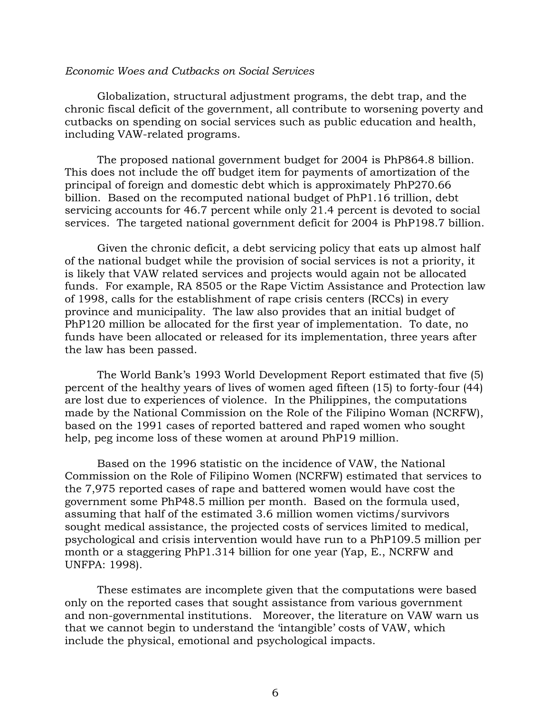#### *Economic Woes and Cutbacks on Social Services*

Globalization, structural adjustment programs, the debt trap, and the chronic fiscal deficit of the government, all contribute to worsening poverty and cutbacks on spending on social services such as public education and health, including VAW-related programs.

The proposed national government budget for 2004 is PhP864.8 billion. This does not include the off budget item for payments of amortization of the principal of foreign and domestic debt which is approximately PhP270.66 billion. Based on the recomputed national budget of PhP1.16 trillion, debt servicing accounts for 46.7 percent while only 21.4 percent is devoted to social services. The targeted national government deficit for 2004 is PhP198.7 billion.

Given the chronic deficit, a debt servicing policy that eats up almost half of the national budget while the provision of social services is not a priority, it is likely that VAW related services and projects would again not be allocated funds. For example, RA 8505 or the Rape Victim Assistance and Protection law of 1998, calls for the establishment of rape crisis centers (RCCs) in every province and municipality. The law also provides that an initial budget of PhP120 million be allocated for the first year of implementation. To date, no funds have been allocated or released for its implementation, three years after the law has been passed.

The World Bank's 1993 World Development Report estimated that five (5) percent of the healthy years of lives of women aged fifteen (15) to forty-four (44) are lost due to experiences of violence. In the Philippines, the computations made by the National Commission on the Role of the Filipino Woman (NCRFW), based on the 1991 cases of reported battered and raped women who sought help, peg income loss of these women at around PhP19 million.

Based on the 1996 statistic on the incidence of VAW, the National Commission on the Role of Filipino Women (NCRFW) estimated that services to the 7,975 reported cases of rape and battered women would have cost the government some PhP48.5 million per month. Based on the formula used, assuming that half of the estimated 3.6 million women victims/survivors sought medical assistance, the projected costs of services limited to medical, psychological and crisis intervention would have run to a PhP109.5 million per month or a staggering PhP1.314 billion for one year (Yap, E., NCRFW and UNFPA: 1998).

These estimates are incomplete given that the computations were based only on the reported cases that sought assistance from various government and non-governmental institutions. Moreover, the literature on VAW warn us that we cannot begin to understand the 'intangible' costs of VAW, which include the physical, emotional and psychological impacts.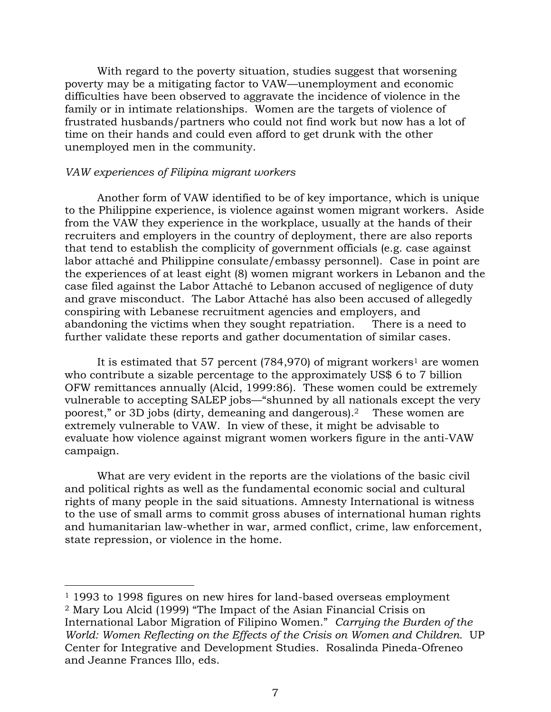With regard to the poverty situation, studies suggest that worsening poverty may be a mitigating factor to VAW—unemployment and economic difficulties have been observed to aggravate the incidence of violence in the family or in intimate relationships. Women are the targets of violence of frustrated husbands/partners who could not find work but now has a lot of time on their hands and could even afford to get drunk with the other unemployed men in the community.

#### *VAW experiences of Filipina migrant workers*

-

Another form of VAW identified to be of key importance, which is unique to the Philippine experience, is violence against women migrant workers. Aside from the VAW they experience in the workplace, usually at the hands of their recruiters and employers in the country of deployment, there are also reports that tend to establish the complicity of government officials (e.g. case against labor attaché and Philippine consulate/embassy personnel). Case in point are the experiences of at least eight (8) women migrant workers in Lebanon and the case filed against the Labor Attaché to Lebanon accused of negligence of duty and grave misconduct. The Labor Attaché has also been accused of allegedly conspiring with Lebanese recruitment agencies and employers, and abandoning the victims when they sought repatriation. There is a need to further validate these reports and gather documentation of similar cases.

It is estimated that 57 percent  $(784,970)$  of migrant workers<sup>1</sup> are women who contribute a sizable percentage to the approximately US\$ 6 to 7 billion OFW remittances annually (Alcid, 1999:86). These women could be extremely vulnerable to accepting SALEP jobs—"shunned by all nationals except the very poorest," or 3D jobs (dirty, demeaning and dangerous).2 These women are extremely vulnerable to VAW. In view of these, it might be advisable to evaluate how violence against migrant women workers figure in the anti-VAW campaign.

What are very evident in the reports are the violations of the basic civil and political rights as well as the fundamental economic social and cultural rights of many people in the said situations. Amnesty International is witness to the use of small arms to commit gross abuses of international human rights and humanitarian law-whether in war, armed conflict, crime, law enforcement, state repression, or violence in the home.

<sup>&</sup>lt;sup>1</sup> 1993 to 1998 figures on new hires for land-based overseas employment 2 Mary Lou Alcid (1999) "The Impact of the Asian Financial Crisis on International Labor Migration of Filipino Women." *Carrying the Burden of the World: Women Reflecting on the Effects of the Crisis on Women and Children.* UP Center for Integrative and Development Studies. Rosalinda Pineda-Ofreneo and Jeanne Frances Illo, eds.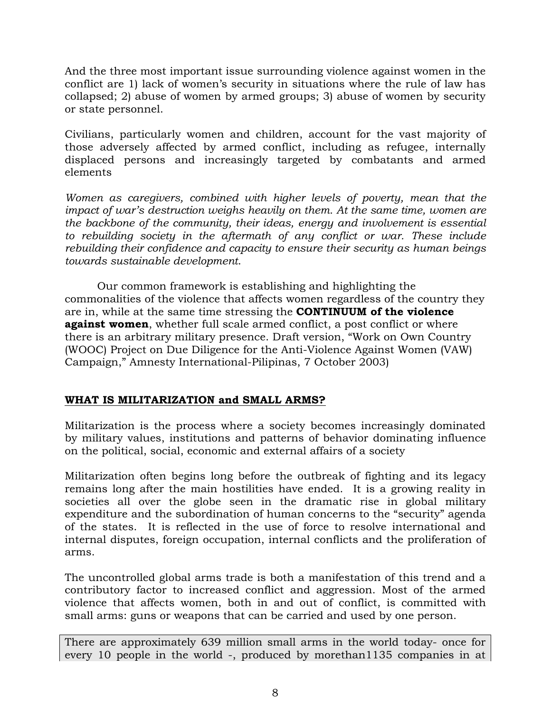And the three most important issue surrounding violence against women in the conflict are 1) lack of women's security in situations where the rule of law has collapsed; 2) abuse of women by armed groups; 3) abuse of women by security or state personnel.

Civilians, particularly women and children, account for the vast majority of those adversely affected by armed conflict, including as refugee, internally displaced persons and increasingly targeted by combatants and armed elements

*Women as caregivers, combined with higher levels of poverty, mean that the impact of war's destruction weighs heavily on them. At the same time, women are the backbone of the community, their ideas, energy and involvement is essential to rebuilding society in the aftermath of any conflict or war. These include rebuilding their confidence and capacity to ensure their security as human beings towards sustainable development*.

Our common framework is establishing and highlighting the commonalities of the violence that affects women regardless of the country they are in, while at the same time stressing the **CONTINUUM of the violence against women**, whether full scale armed conflict, a post conflict or where there is an arbitrary military presence. Draft version, "Work on Own Country (WOOC) Project on Due Diligence for the Anti-Violence Against Women (VAW) Campaign," Amnesty International-Pilipinas, 7 October 2003)

## **WHAT IS MILITARIZATION and SMALL ARMS?**

Militarization is the process where a society becomes increasingly dominated by military values, institutions and patterns of behavior dominating influence on the political, social, economic and external affairs of a society

Militarization often begins long before the outbreak of fighting and its legacy remains long after the main hostilities have ended. It is a growing reality in societies all over the globe seen in the dramatic rise in global military expenditure and the subordination of human concerns to the "security" agenda of the states. It is reflected in the use of force to resolve international and internal disputes, foreign occupation, internal conflicts and the proliferation of arms.

The uncontrolled global arms trade is both a manifestation of this trend and a contributory factor to increased conflict and aggression. Most of the armed violence that affects women, both in and out of conflict, is committed with small arms: guns or weapons that can be carried and used by one person.

There are approximately 639 million small arms in the world today- once for every 10 people in the world -, produced by morethan1135 companies in at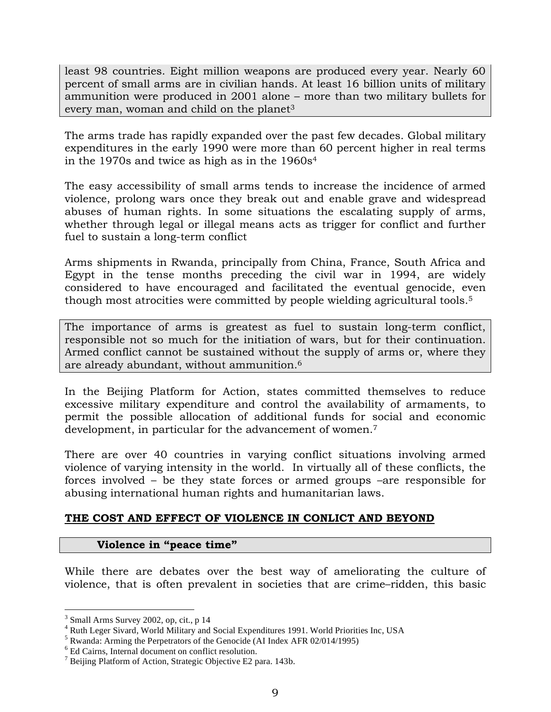least 98 countries. Eight million weapons are produced every year. Nearly 60 percent of small arms are in civilian hands. At least 16 billion units of military ammunition were produced in 2001 alone – more than two military bullets for every man, woman and child on the planet<sup>3</sup>

The arms trade has rapidly expanded over the past few decades. Global military expenditures in the early 1990 were more than 60 percent higher in real terms in the 1970s and twice as high as in the 1960s4

The easy accessibility of small arms tends to increase the incidence of armed violence, prolong wars once they break out and enable grave and widespread abuses of human rights. In some situations the escalating supply of arms, whether through legal or illegal means acts as trigger for conflict and further fuel to sustain a long-term conflict

Arms shipments in Rwanda, principally from China, France, South Africa and Egypt in the tense months preceding the civil war in 1994, are widely considered to have encouraged and facilitated the eventual genocide, even though most atrocities were committed by people wielding agricultural tools.5

The importance of arms is greatest as fuel to sustain long-term conflict, responsible not so much for the initiation of wars, but for their continuation. Armed conflict cannot be sustained without the supply of arms or, where they are already abundant, without ammunition.6

In the Beijing Platform for Action, states committed themselves to reduce excessive military expenditure and control the availability of armaments, to permit the possible allocation of additional funds for social and economic development, in particular for the advancement of women.7

There are over 40 countries in varying conflict situations involving armed violence of varying intensity in the world. In virtually all of these conflicts, the forces involved – be they state forces or armed groups –are responsible for abusing international human rights and humanitarian laws.

## **THE COST AND EFFECT OF VIOLENCE IN CONLICT AND BEYOND**

# **Violence in "peace time"**

While there are debates over the best way of ameliorating the culture of violence, that is often prevalent in societies that are crime–ridden, this basic

<sup>&</sup>lt;sup>3</sup> Small Arms Survey 2002, op, cit., p 14

<sup>4</sup> Ruth Leger Sivard, World Military and Social Expenditures 1991. World Priorities Inc, USA

<sup>&</sup>lt;sup>5</sup> Rwanda: Arming the Perpetrators of the Genocide (AI Index AFR 02/014/1995)

<sup>6</sup> Ed Cairns, Internal document on conflict resolution.

<sup>&</sup>lt;sup>7</sup> Beijing Platform of Action, Strategic Objective E2 para. 143b.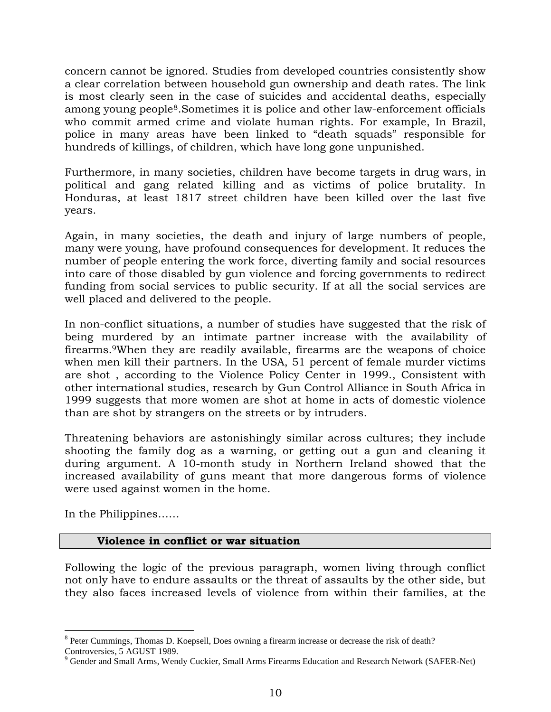concern cannot be ignored. Studies from developed countries consistently show a clear correlation between household gun ownership and death rates. The link is most clearly seen in the case of suicides and accidental deaths, especially among young people8.Sometimes it is police and other law-enforcement officials who commit armed crime and violate human rights. For example, In Brazil, police in many areas have been linked to "death squads" responsible for hundreds of killings, of children, which have long gone unpunished.

Furthermore, in many societies, children have become targets in drug wars, in political and gang related killing and as victims of police brutality. In Honduras, at least 1817 street children have been killed over the last five years.

Again, in many societies, the death and injury of large numbers of people, many were young, have profound consequences for development. It reduces the number of people entering the work force, diverting family and social resources into care of those disabled by gun violence and forcing governments to redirect funding from social services to public security. If at all the social services are well placed and delivered to the people.

In non-conflict situations, a number of studies have suggested that the risk of being murdered by an intimate partner increase with the availability of firearms.9When they are readily available, firearms are the weapons of choice when men kill their partners. In the USA, 51 percent of female murder victims are shot , according to the Violence Policy Center in 1999., Consistent with other international studies, research by Gun Control Alliance in South Africa in 1999 suggests that more women are shot at home in acts of domestic violence than are shot by strangers on the streets or by intruders.

Threatening behaviors are astonishingly similar across cultures; they include shooting the family dog as a warning, or getting out a gun and cleaning it during argument. A 10-month study in Northern Ireland showed that the increased availability of guns meant that more dangerous forms of violence were used against women in the home.

In the Philippines……

## **Violence in conflict or war situation**

Following the logic of the previous paragraph, women living through conflict not only have to endure assaults or the threat of assaults by the other side, but they also faces increased levels of violence from within their families, at the

 $8$  Peter Cummings, Thomas D. Koepsell, Does owning a firearm increase or decrease the risk of death?

Controversies, 5 AGUST 1989.

<sup>&</sup>lt;sup>9</sup> Gender and Small Arms, Wendy Cuckier, Small Arms Firearms Education and Research Network (SAFER-Net)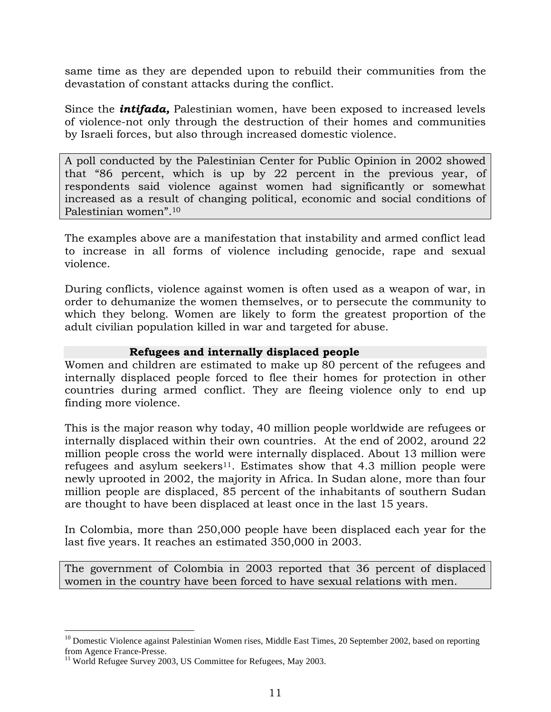same time as they are depended upon to rebuild their communities from the devastation of constant attacks during the conflict.

Since the *intifada,* Palestinian women, have been exposed to increased levels of violence-not only through the destruction of their homes and communities by Israeli forces, but also through increased domestic violence.

A poll conducted by the Palestinian Center for Public Opinion in 2002 showed that "86 percent, which is up by 22 percent in the previous year, of respondents said violence against women had significantly or somewhat increased as a result of changing political, economic and social conditions of Palestinian women".10

The examples above are a manifestation that instability and armed conflict lead to increase in all forms of violence including genocide, rape and sexual violence.

During conflicts, violence against women is often used as a weapon of war, in order to dehumanize the women themselves, or to persecute the community to which they belong. Women are likely to form the greatest proportion of the adult civilian population killed in war and targeted for abuse.

### **Refugees and internally displaced people**

Women and children are estimated to make up 80 percent of the refugees and internally displaced people forced to flee their homes for protection in other countries during armed conflict. They are fleeing violence only to end up finding more violence.

This is the major reason why today, 40 million people worldwide are refugees or internally displaced within their own countries. At the end of 2002, around 22 million people cross the world were internally displaced. About 13 million were refugees and asylum seekers<sup>11</sup>. Estimates show that 4.3 million people were newly uprooted in 2002, the majority in Africa. In Sudan alone, more than four million people are displaced, 85 percent of the inhabitants of southern Sudan are thought to have been displaced at least once in the last 15 years.

In Colombia, more than 250,000 people have been displaced each year for the last five years. It reaches an estimated 350,000 in 2003.

The government of Colombia in 2003 reported that 36 percent of displaced women in the country have been forced to have sexual relations with men.

<sup>&</sup>lt;sup>10</sup> Domestic Violence against Palestinian Women rises, Middle East Times, 20 September 2002, based on reporting from Agence France-Presse.

<sup>&</sup>lt;sup>11</sup> World Refugee Survey 2003, US Committee for Refugees, May 2003.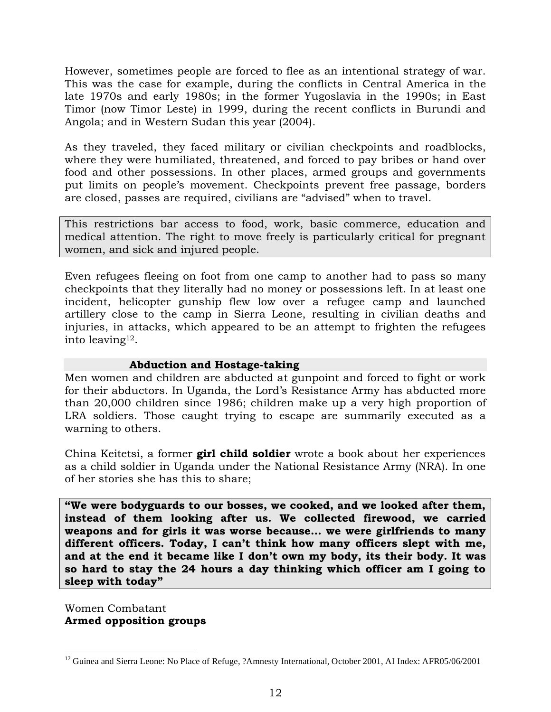However, sometimes people are forced to flee as an intentional strategy of war. This was the case for example, during the conflicts in Central America in the late 1970s and early 1980s; in the former Yugoslavia in the 1990s; in East Timor (now Timor Leste) in 1999, during the recent conflicts in Burundi and Angola; and in Western Sudan this year (2004).

As they traveled, they faced military or civilian checkpoints and roadblocks, where they were humiliated, threatened, and forced to pay bribes or hand over food and other possessions. In other places, armed groups and governments put limits on people's movement. Checkpoints prevent free passage, borders are closed, passes are required, civilians are "advised" when to travel.

This restrictions bar access to food, work, basic commerce, education and medical attention. The right to move freely is particularly critical for pregnant women, and sick and injured people.

Even refugees fleeing on foot from one camp to another had to pass so many checkpoints that they literally had no money or possessions left. In at least one incident, helicopter gunship flew low over a refugee camp and launched artillery close to the camp in Sierra Leone, resulting in civilian deaths and injuries, in attacks, which appeared to be an attempt to frighten the refugees into leaving12.

### **Abduction and Hostage-taking**

Men women and children are abducted at gunpoint and forced to fight or work for their abductors. In Uganda, the Lord's Resistance Army has abducted more than 20,000 children since 1986; children make up a very high proportion of LRA soldiers. Those caught trying to escape are summarily executed as a warning to others.

China Keitetsi, a former **girl child soldier** wrote a book about her experiences as a child soldier in Uganda under the National Resistance Army (NRA). In one of her stories she has this to share;

**"We were bodyguards to our bosses, we cooked, and we looked after them, instead of them looking after us. We collected firewood, we carried weapons and for girls it was worse because… we were girlfriends to many different officers. Today, I can't think how many officers slept with me, and at the end it became like I don't own my body, its their body. It was so hard to stay the 24 hours a day thinking which officer am I going to sleep with today"** 

Women Combatant **Armed opposition groups** 

<sup>&</sup>lt;sup>12</sup> Guinea and Sierra Leone: No Place of Refuge, ?Amnesty International, October 2001, AI Index: AFR05/06/2001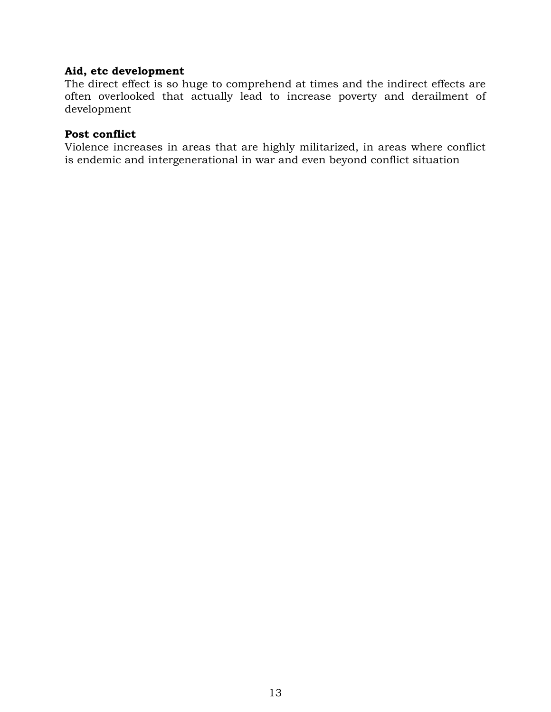### **Aid, etc development**

The direct effect is so huge to comprehend at times and the indirect effects are often overlooked that actually lead to increase poverty and derailment of development

#### **Post conflict**

Violence increases in areas that are highly militarized, in areas where conflict is endemic and intergenerational in war and even beyond conflict situation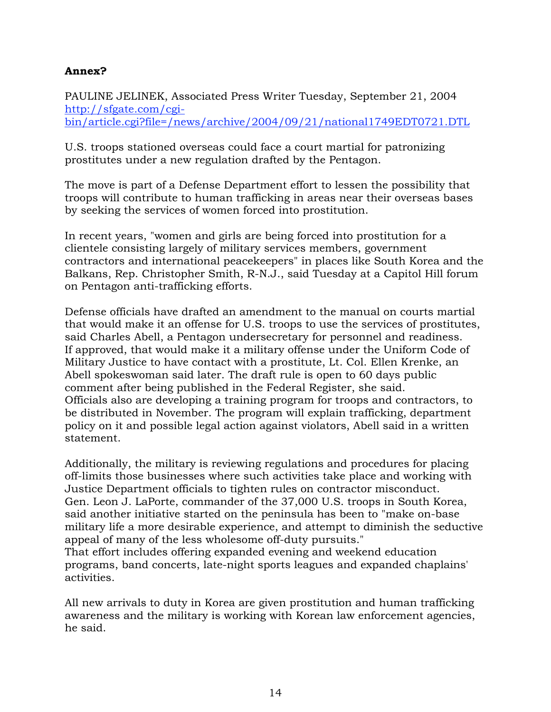### **Annex?**

PAULINE JELINEK, Associated Press Writer Tuesday, September 21, 2004 http://sfgate.com/cgibin/article.cgi?file=/news/archive/2004/09/21/national1749EDT0721.DTL

U.S. troops stationed overseas could face a court martial for patronizing prostitutes under a new regulation drafted by the Pentagon.

The move is part of a Defense Department effort to lessen the possibility that troops will contribute to human trafficking in areas near their overseas bases by seeking the services of women forced into prostitution.

In recent years, "women and girls are being forced into prostitution for a clientele consisting largely of military services members, government contractors and international peacekeepers" in places like South Korea and the Balkans, Rep. Christopher Smith, R-N.J., said Tuesday at a Capitol Hill forum on Pentagon anti-trafficking efforts.

Defense officials have drafted an amendment to the manual on courts martial that would make it an offense for U.S. troops to use the services of prostitutes, said Charles Abell, a Pentagon undersecretary for personnel and readiness. If approved, that would make it a military offense under the Uniform Code of Military Justice to have contact with a prostitute, Lt. Col. Ellen Krenke, an Abell spokeswoman said later. The draft rule is open to 60 days public comment after being published in the Federal Register, she said. Officials also are developing a training program for troops and contractors, to be distributed in November. The program will explain trafficking, department policy on it and possible legal action against violators, Abell said in a written statement.

Additionally, the military is reviewing regulations and procedures for placing off-limits those businesses where such activities take place and working with Justice Department officials to tighten rules on contractor misconduct. Gen. Leon J. LaPorte, commander of the 37,000 U.S. troops in South Korea, said another initiative started on the peninsula has been to "make on-base military life a more desirable experience, and attempt to diminish the seductive appeal of many of the less wholesome off-duty pursuits."

That effort includes offering expanded evening and weekend education programs, band concerts, late-night sports leagues and expanded chaplains' activities.

All new arrivals to duty in Korea are given prostitution and human trafficking awareness and the military is working with Korean law enforcement agencies, he said.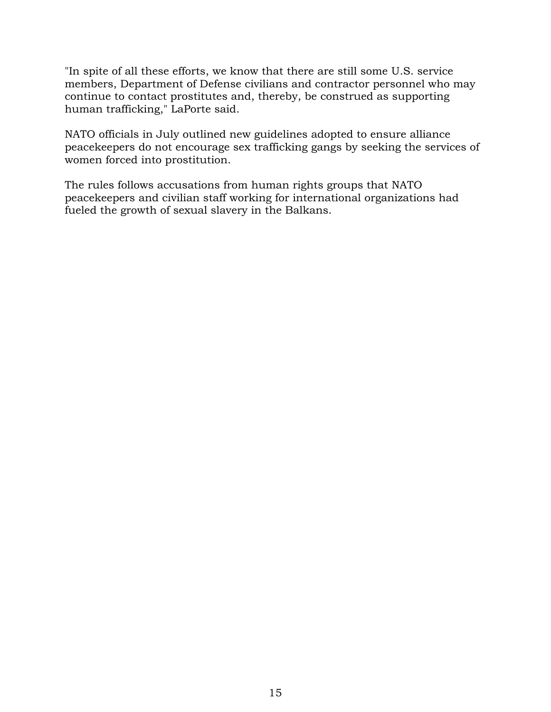"In spite of all these efforts, we know that there are still some U.S. service members, Department of Defense civilians and contractor personnel who may continue to contact prostitutes and, thereby, be construed as supporting human trafficking," LaPorte said.

NATO officials in July outlined new guidelines adopted to ensure alliance peacekeepers do not encourage sex trafficking gangs by seeking the services of women forced into prostitution.

The rules follows accusations from human rights groups that NATO peacekeepers and civilian staff working for international organizations had fueled the growth of sexual slavery in the Balkans.